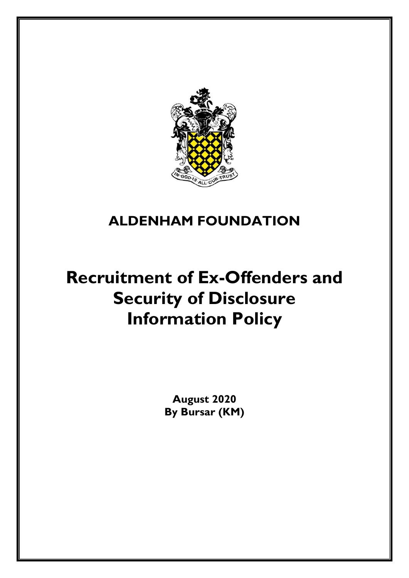

# **ALDENHAM FOUNDATION**

# **Recruitment of Ex-Offenders and Security of Disclosure Information Policy**

**August 2020 By Bursar (KM)**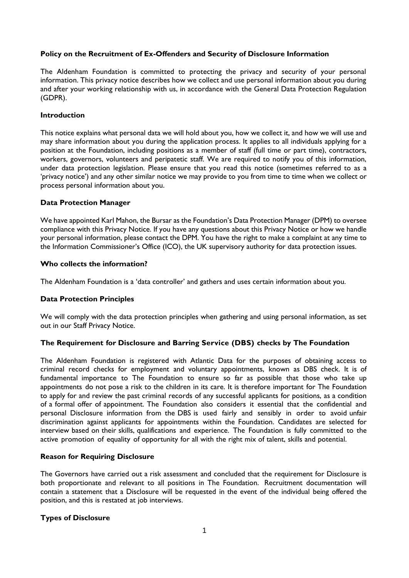#### **Policy on the Recruitment of Ex-Offenders and Security of Disclosure Information**

The Aldenham Foundation is committed to protecting the privacy and security of your personal information. This privacy notice describes how we collect and use personal information about you during and after your working relationship with us, in accordance with the General Data Protection Regulation (GDPR).

# **Introduction**

This notice explains what personal data we will hold about you, how we collect it, and how we will use and may share information about you during the application process. It applies to all individuals applying for a position at the Foundation, including positions as a member of staff (full time or part time), contractors, workers, governors, volunteers and peripatetic staff. We are required to notify you of this information, under data protection legislation. Please ensure that you read this notice (sometimes referred to as a 'privacy notice') and any other similar notice we may provide to you from time to time when we collect or process personal information about you.

# **Data Protection Manager**

We have appointed Karl Mahon, the Bursar as the Foundation's Data Protection Manager (DPM) to oversee compliance with this Privacy Notice. If you have any questions about this Privacy Notice or how we handle your personal information, please contact the DPM. You have the right to make a complaint at any time to the Information Commissioner's Office (ICO), the UK supervisory authority for data protection issues.

# **Who collects the information?**

The Aldenham Foundation is a 'data controller' and gathers and uses certain information about you.

#### **Data Protection Principles**

We will comply with the data protection principles when gathering and using personal information, as set out in our Staff Privacy Notice.

#### **The Requirement for Disclosure and Barring Service (DBS) checks by The Foundation**

The Aldenham Foundation is registered with Atlantic Data for the purposes of obtaining access to criminal record checks for employment and voluntary appointments, known as DBS check. It is of fundamental importance to The Foundation to ensure so far as possible that those who take up appointments do not pose a risk to the children in its care. It is therefore important for The Foundation to apply for and review the past criminal records of any successful applicants for positions, as a condition of a formal offer of appointment. The Foundation also considers it essential that the confidential and personal Disclosure information from the DBS is used fairly and sensibly in order to avoid unfair discrimination against applicants for appointments within the Foundation. Candidates are selected for interview based on their skills, qualifications and experience. The Foundation is fully committed to the active promotion of equality of opportunity for all with the right mix of talent, skills and potential.

#### **Reason for Requiring Disclosure**

The Governors have carried out a risk assessment and concluded that the requirement for Disclosure is both proportionate and relevant to all positions in The Foundation. Recruitment documentation will contain a statement that a Disclosure will be requested in the event of the individual being offered the position, and this is restated at job interviews.

# **Types of Disclosure**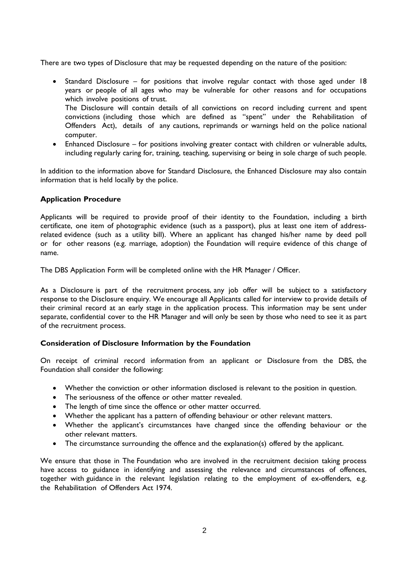There are two types of Disclosure that may be requested depending on the nature of the position:

- Standard Disclosure for positions that involve regular contact with those aged under 18 years or people of all ages who may be vulnerable for other reasons and for occupations which involve positions of trust. The Disclosure will contain details of all convictions on record including current and spent convictions (including those which are defined as "spent" under the Rehabilitation of Offenders Act), details of any cautions, reprimands or warnings held on the police national computer.
- Enhanced Disclosure for positions involving greater contact with children or vulnerable adults, including regularly caring for, training, teaching, supervising or being in sole charge of such people.

In addition to the information above for Standard Disclosure, the Enhanced Disclosure may also contain information that is held locally by the police.

# **Application Procedure**

Applicants will be required to provide proof of their identity to the Foundation, including a birth certificate, one item of photographic evidence (such as a passport), plus at least one item of addressrelated evidence (such as a utility bill). Where an applicant has changed his/her name by deed poll or for other reasons (e.g. marriage, adoption) the Foundation will require evidence of this change of name.

The DBS Application Form will be completed online with the HR Manager / Officer.

As a Disclosure is part of the recruitment process, any job offer will be subject to a satisfactory response to the Disclosure enquiry. We encourage all Applicants called for interview to provide details of their criminal record at an early stage in the application process. This information may be sent under separate, confidential cover to the HR Manager and will only be seen by those who need to see it as part of the recruitment process.

#### **Consideration of Disclosure Information by the Foundation**

On receipt of criminal record information from an applicant or Disclosure from the DBS, the Foundation shall consider the following:

- Whether the conviction or other information disclosed is relevant to the position in question.
- The seriousness of the offence or other matter revealed.
- The length of time since the offence or other matter occurred.
- Whether the applicant has a pattern of offending behaviour or other relevant matters.
- Whether the applicant's circumstances have changed since the offending behaviour or the other relevant matters.
- The circumstance surrounding the offence and the explanation(s) offered by the applicant.

We ensure that those in The Foundation who are involved in the recruitment decision taking process have access to guidance in identifying and assessing the relevance and circumstances of offences, together with guidance in the relevant legislation relating to the employment of ex-offenders, e.g. the Rehabilitation of Offenders Act 1974.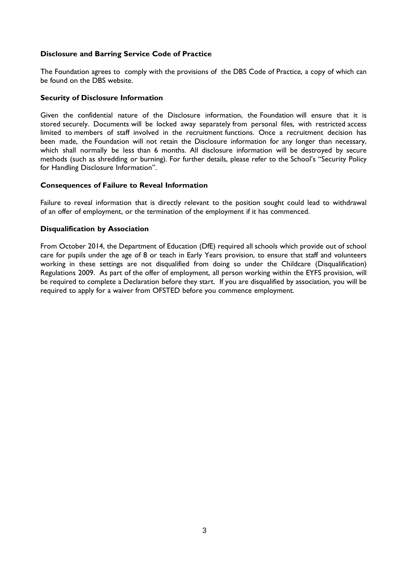#### **Disclosure and Barring Service Code of Practice**

The Foundation agrees to comply with the provisions of the DBS Code of Practice, a copy of which can be found on the DBS website.

#### **Security of Disclosure Information**

Given the confidential nature of the Disclosure information, the Foundation will ensure that it is stored securely. Documents will be locked away separately from personal files, with restricted access limited to members of staff involved in the recruitment functions. Once a recruitment decision has been made, the Foundation will not retain the Disclosure information for any longer than necessary, which shall normally be less than 6 months. All disclosure information will be destroyed by secure methods (such as shredding or burning). For further details, please refer to the School's "Security Policy for Handling Disclosure Information".

# **Consequences of Failure to Reveal Information**

Failure to reveal information that is directly relevant to the position sought could lead to withdrawal of an offer of employment, or the termination of the employment if it has commenced.

# **Disqualification by Association**

From October 2014, the Department of Education (DfE) required all schools which provide out of school care for pupils under the age of 8 or teach in Early Years provision, to ensure that staff and volunteers working in these settings are not disqualified from doing so under the Childcare (Disqualification) Regulations 2009. As part of the offer of employment, all person working within the EYFS provision, will be required to complete a Declaration before they start. If you are disqualified by association, you will be required to apply for a waiver from OFSTED before you commence employment.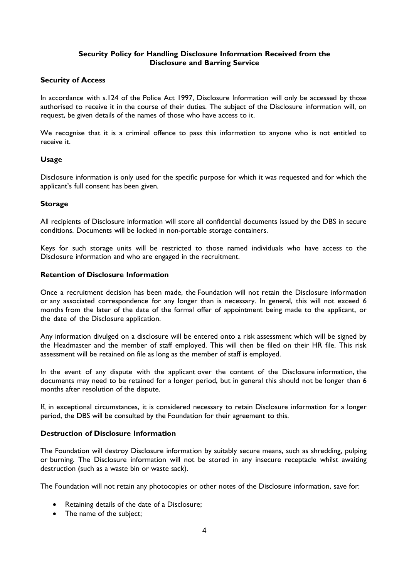# **Security Policy for Handling Disclosure Information Received from the Disclosure and Barring Service**

# **Security of Access**

In accordance with s.124 of the Police Act 1997, Disclosure Information will only be accessed by those authorised to receive it in the course of their duties. The subject of the Disclosure information will, on request, be given details of the names of those who have access to it.

We recognise that it is a criminal offence to pass this information to anyone who is not entitled to receive it.

# **Usage**

Disclosure information is only used for the specific purpose for which it was requested and for which the applicant's full consent has been given.

# **Storage**

All recipients of Disclosure information will store all confidential documents issued by the DBS in secure conditions. Documents will be locked in non-portable storage containers.

Keys for such storage units will be restricted to those named individuals who have access to the Disclosure information and who are engaged in the recruitment.

#### **Retention of Disclosure Information**

Once a recruitment decision has been made, the Foundation will not retain the Disclosure information or any associated correspondence for any longer than is necessary. In general, this will not exceed 6 months from the later of the date of the formal offer of appointment being made to the applicant, or the date of the Disclosure application.

Any information divulged on a disclosure will be entered onto a risk assessment which will be signed by the Headmaster and the member of staff employed. This will then be filed on their HR file. This risk assessment will be retained on file as long as the member of staff is employed.

In the event of any dispute with the applicant over the content of the Disclosure information, the documents may need to be retained for a longer period, but in general this should not be longer than 6 months after resolution of the dispute.

If, in exceptional circumstances, it is considered necessary to retain Disclosure information for a longer period, the DBS will be consulted by the Foundation for their agreement to this.

#### **Destruction of Disclosure Information**

The Foundation will destroy Disclosure information by suitably secure means, such as shredding, pulping or burning. The Disclosure information will not be stored in any insecure receptacle whilst awaiting destruction (such as a waste bin or waste sack).

The Foundation will not retain any photocopies or other notes of the Disclosure information, save for:

- Retaining details of the date of a Disclosure;
- The name of the subject;